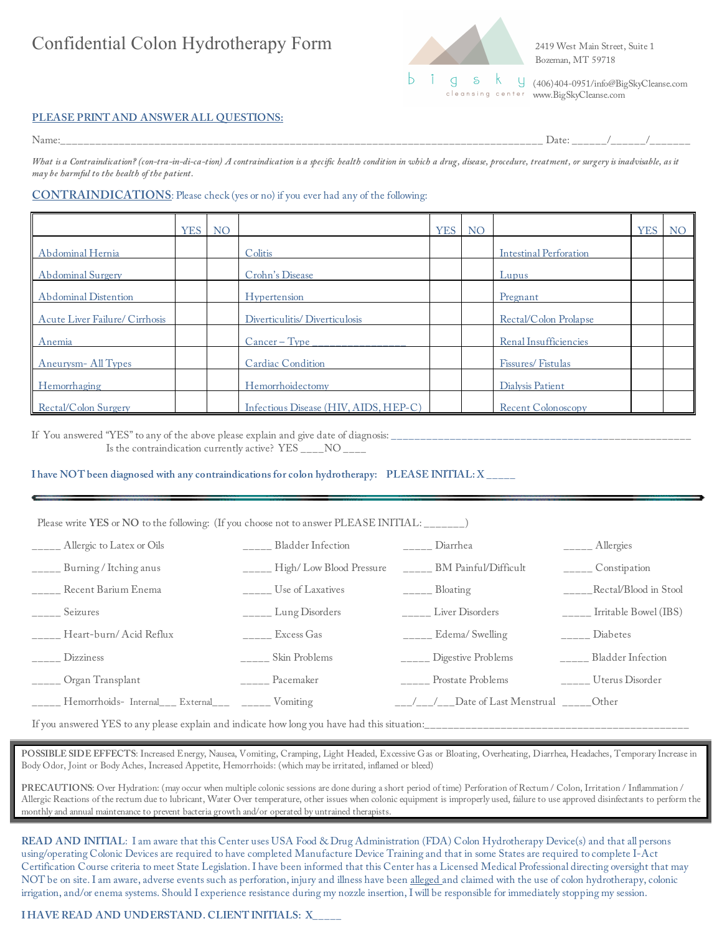# Confidential Colon Hydrotherapy Form 2419 West Main Street, Suite 1



Bozeman, MT 59718

(406)404-0951/info@BigSkyCleanse.com www.BigSkyCleanse.com

## **PLEASE PRINT AND ANSWER ALL QUESTIONS:**

Name:\_\_\_\_\_\_\_\_\_\_\_\_\_\_\_\_\_\_\_\_\_\_\_\_\_\_\_\_\_\_\_\_\_\_\_\_\_\_\_\_\_\_\_\_\_\_\_\_\_\_\_\_\_\_\_\_\_\_\_\_\_\_\_\_\_\_\_\_\_\_\_\_\_\_\_\_\_\_\_\_\_\_ Date: \_\_\_\_\_\_/\_\_\_\_\_\_/\_\_\_\_\_\_\_

*What is a Contraindication? (con-tra-in-di-ca-tion) A contraindication is a specific health condition in which a drug, disease, procedure, treatment, or surgery is inadvisable, as it may be harmful to the health of the patient.*

### **CONTRAINDICATIONS**: Please check (yes or no) if you ever had any of the following:

|                                | <b>YES</b> | <b>NO</b> |                                       | <b>YES</b> | <b>NO</b> |                               | <b>YES</b> | <b>NO</b> |
|--------------------------------|------------|-----------|---------------------------------------|------------|-----------|-------------------------------|------------|-----------|
| Abdominal Hernia               |            |           | Colitis                               |            |           | <b>Intestinal Perforation</b> |            |           |
| Abdominal Surgery              |            |           | Crohn's Disease                       |            |           | Lupus                         |            |           |
| Abdominal Distention           |            |           | Hypertension                          |            |           | Pregnant                      |            |           |
| Acute Liver Failure/ Cirrhosis |            |           | Diverticulitis/Diverticulosis         |            |           | Rectal/Colon Prolapse         |            |           |
| Anemia                         |            |           | $Cancer - Type$                       |            |           | Renal Insufficiencies         |            |           |
| Aneurysm-All Types             |            |           | Cardiac Condition                     |            |           | Fissures/Fistulas             |            |           |
| Hemorrhaging                   |            |           | Hemorrhoidectomy                      |            |           | Dialysis Patient              |            |           |
| Rectal/Colon Surgery           |            |           | Infectious Disease (HIV, AIDS, HEP-C) |            |           | Recent Colonoscopy            |            |           |

If You answered "YES" to any of the above please explain and give date of diagnosis: \_\_\_\_\_\_\_\_\_\_\_\_\_\_\_\_\_\_\_\_\_\_\_\_\_\_\_\_\_\_\_\_\_\_\_\_\_\_\_\_\_\_\_\_\_\_\_\_\_\_\_ Is the contraindication currently active? YES \_\_\_\_NO \_\_\_\_

**I have NOT been diagnosed with any contraindications for colon hydrotherapy: PLEASE INITIAL: X \_\_\_\_\_**

### Please write **YES** or **NO** to the following: (If you choose not to answer PLEASE INITIAL:

| _____ Allergic to Latex or Oils                            | Bladder Infection                     | Diarrhea                                                                                                                                                                                                                                                                                                                                                                                                              | $\frac{1}{1-\frac{1}{2}}$ Allergies |
|------------------------------------------------------------|---------------------------------------|-----------------------------------------------------------------------------------------------------------------------------------------------------------------------------------------------------------------------------------------------------------------------------------------------------------------------------------------------------------------------------------------------------------------------|-------------------------------------|
| _____ Burning / Itching anus                               | $\frac{1}{2}$ High/Low Blood Pressure | BM Painful/Difficult                                                                                                                                                                                                                                                                                                                                                                                                  | $\frac{1}{1}$ Constipation          |
| _____ Recent Barium Enema                                  | Use of Laxatives                      | $\frac{1}{1-\frac{1}{1-\frac{1}{1-\frac{1}{1-\frac{1}{1-\frac{1}{1-\frac{1}{1-\frac{1}{1-\frac{1}{1-\frac{1}{1-\frac{1}{1-\frac{1}{1-\frac{1}{1-\frac{1}{1-\frac{1}{1-\frac{1}{1-\frac{1}{1-\frac{1}{1-\frac{1}{1-\frac{1}{1-\frac{1}{1-\frac{1}{1-\frac{1}{1-\frac{1}{1-\frac{1}{1-\frac{1}{1-\frac{1}{1-\frac{1}{1-\frac{1}{1-\frac{1}{1-\frac{1}{1-\frac{1}{1-\frac{1}{1-\frac{1}{1-\frac{1}{1-\frac{1}{1-\frac{1$ | _____Rectal/Blood in Stool          |
| _____ Seizures                                             | $\frac{1}{2}$ Lung Disorders          | _____ Liver Disorders                                                                                                                                                                                                                                                                                                                                                                                                 | $\frac{1}{2}$ Irritable Bowel (IBS) |
| _____ Heart-burn/ Acid Reflux                              | $\overline{\phantom{a}}$ Excess Gas   | $\frac{1}{2}$ Edema/ Swelling                                                                                                                                                                                                                                                                                                                                                                                         | $\frac{1}{1}$ Diabetes              |
| $\frac{1}{2}$ Dizziness                                    | _____ Skin Problems                   | _____ Digestive Problems                                                                                                                                                                                                                                                                                                                                                                                              | _____ Bladder Infection             |
| _____ Organ Transplant                                     | ______ Pacemaker                      | _____ Prostate Problems                                                                                                                                                                                                                                                                                                                                                                                               | _____ Uterus Disorder               |
| _____ Hemorrhoids- Internal___ External___ ______ Vomiting |                                       | $\frac{1}{1-\frac{1}{1-\frac{1}{1-\frac{1}{1-\frac{1}{1-\frac{1}{1-\frac{1}{1-\frac{1}{1-\frac{1}{1-\frac{1}{1-\frac{1}{1-\frac{1}{1-\frac{1}{1-\frac{1}{1-\frac{1}{1-\frac{1}{1-\frac{1}{1-\frac{1}{1-\frac{1}{1-\frac{1}{1-\frac{1}{1-\frac{1}{1-\frac{1}{1-\frac{1}{1-\frac{1}{1-\frac{1}{1-\frac{1}{1-\frac{1}{1-\frac{1}{1-\frac{1}{1-\frac{1}{1-\frac{1}{1-\frac{1}{1-\frac{1}{1-\frac{1}{1-\frac{1}{1-\frac{1$ |                                     |

If you answered YES to any please explain and indicate how long you have had this situation:

POSSIBLE SIDE EFFECTS: Increased Energy, Nausea, Vomiting, Cramping, Light Headed, Excessive Gas or Bloating, Overheating, Diarrhea, Headaches, Temporary Increase in Body Odor, Joint or Body Aches, Increased Appetite, Hemorrhoids: (which may be irritated, inflamed or bleed)

**PRECAUTIONS**: Over Hydration: (may occur when multiple colonic sessions are done during a short period of time) Perforation of Rectum / Colon, Irritation / Inflammation / Allergic Reactions of the rectum due to lubricant, Water Over temperature, other issues when colonic equipment is improperly used, failure to use approved disinfectants to perform the monthly and annual maintenance to prevent bacteria growth and/or operated by untrained therapists.

**READ AND INITIAL**: I am aware that this Center uses USA Food & Drug Administration (FDA) Colon Hydrotherapy Device(s) and that all persons using/operating Colonic Devices are required to have completed Manufacture Device Training and that in some States are required to complete I-Act Certification Course criteria to meet State Legislation. I have been informed that this Center has a Licensed Medical Professional directing oversight that may NOT be on site. I am aware, adverse events such as perforation, injury and illness have been alleged and claimed with the use of colon hydrotherapy, colonic irrigation, and/or enema systems. Should I experience resistance during my nozzle insertion, I will be responsible for immediately stopping my session.

**I HAVE READ AND UNDERSTAND. CLIENT INITIALS: X\_\_\_\_\_**